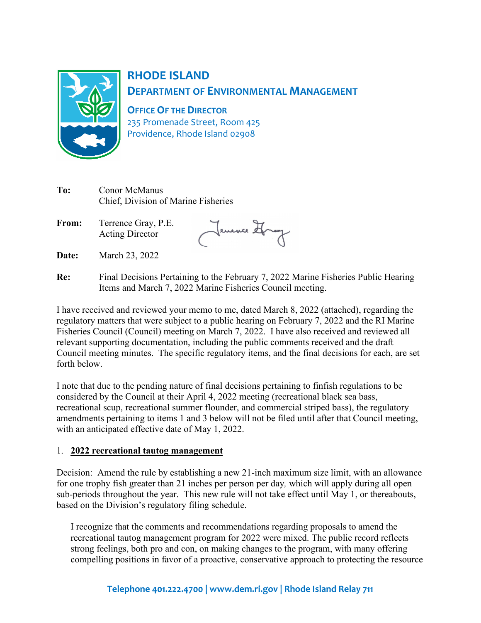

# **RHODE ISLAND DEPARTMENT OF ENVIRONMENTAL MANAGEMENT**

**OFFICE OF THE DIRECTOR**

235 Promenade Street, Room 425 Providence, Rhode Island 02908

| To: | Conor McManus                       |  |
|-----|-------------------------------------|--|
|     | Chief, Division of Marine Fisheries |  |

**From:** Terrence Gray, P.E. Acting Director

Jemence Hrang

- **Date:** March 23, 2022
- **Re:** Final Decisions Pertaining to the February 7, 2022 Marine Fisheries Public Hearing Items and March 7, 2022 Marine Fisheries Council meeting.

I have received and reviewed your memo to me, dated March 8, 2022 (attached), regarding the regulatory matters that were subject to a public hearing on February 7, 2022 and the RI Marine Fisheries Council (Council) meeting on March 7, 2022. I have also received and reviewed all relevant supporting documentation, including the public comments received and the draft Council meeting minutes. The specific regulatory items, and the final decisions for each, are set forth below.

I note that due to the pending nature of final decisions pertaining to finfish regulations to be considered by the Council at their April 4, 2022 meeting (recreational black sea bass, recreational scup, recreational summer flounder, and commercial striped bass), the regulatory amendments pertaining to items 1 and 3 below will not be filed until after that Council meeting, with an anticipated effective date of May 1, 2022.

# 1. **2022 recreational tautog management**

Decision: Amend the rule by establishing a new 21-inch maximum size limit, with an allowance for one trophy fish greater than 21 inches per person per day*,* which will apply during all open sub-periods throughout the year. This new rule will not take effect until May 1, or thereabouts, based on the Division's regulatory filing schedule.

I recognize that the comments and recommendations regarding proposals to amend the recreational tautog management program for 2022 were mixed. The public record reflects strong feelings, both pro and con, on making changes to the program, with many offering compelling positions in favor of a proactive, conservative approach to protecting the resource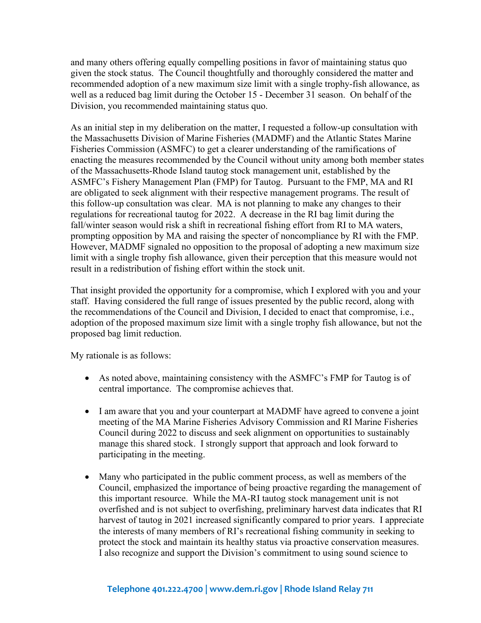and many others offering equally compelling positions in favor of maintaining status quo given the stock status. The Council thoughtfully and thoroughly considered the matter and recommended adoption of a new maximum size limit with a single trophy-fish allowance, as well as a reduced bag limit during the October 15 - December 31 season. On behalf of the Division, you recommended maintaining status quo.

As an initial step in my deliberation on the matter, I requested a follow-up consultation with the Massachusetts Division of Marine Fisheries (MADMF) and the Atlantic States Marine Fisheries Commission (ASMFC) to get a clearer understanding of the ramifications of enacting the measures recommended by the Council without unity among both member states of the Massachusetts-Rhode Island tautog stock management unit, established by the ASMFC's Fishery Management Plan (FMP) for Tautog. Pursuant to the FMP, MA and RI are obligated to seek alignment with their respective management programs. The result of this follow-up consultation was clear. MA is not planning to make any changes to their regulations for recreational tautog for 2022. A decrease in the RI bag limit during the fall/winter season would risk a shift in recreational fishing effort from RI to MA waters, prompting opposition by MA and raising the specter of noncompliance by RI with the FMP. However, MADMF signaled no opposition to the proposal of adopting a new maximum size limit with a single trophy fish allowance, given their perception that this measure would not result in a redistribution of fishing effort within the stock unit.

That insight provided the opportunity for a compromise, which I explored with you and your staff. Having considered the full range of issues presented by the public record, along with the recommendations of the Council and Division, I decided to enact that compromise, i.e., adoption of the proposed maximum size limit with a single trophy fish allowance, but not the proposed bag limit reduction.

My rationale is as follows:

- As noted above, maintaining consistency with the ASMFC's FMP for Tautog is of central importance. The compromise achieves that.
- I am aware that you and your counterpart at MADMF have agreed to convene a joint meeting of the MA Marine Fisheries Advisory Commission and RI Marine Fisheries Council during 2022 to discuss and seek alignment on opportunities to sustainably manage this shared stock. I strongly support that approach and look forward to participating in the meeting.
- Many who participated in the public comment process, as well as members of the Council, emphasized the importance of being proactive regarding the management of this important resource. While the MA-RI tautog stock management unit is not overfished and is not subject to overfishing, preliminary harvest data indicates that RI harvest of tautog in 2021 increased significantly compared to prior years. I appreciate the interests of many members of RI's recreational fishing community in seeking to protect the stock and maintain its healthy status via proactive conservation measures. I also recognize and support the Division's commitment to using sound science to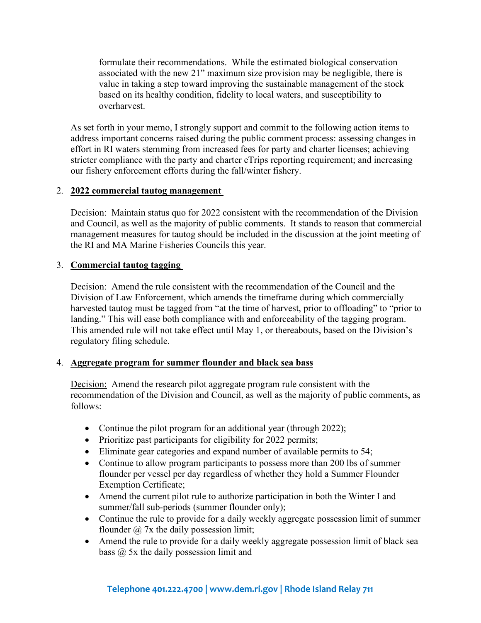formulate their recommendations. While the estimated biological conservation associated with the new 21" maximum size provision may be negligible, there is value in taking a step toward improving the sustainable management of the stock based on its healthy condition, fidelity to local waters, and susceptibility to overharvest.

As set forth in your memo, I strongly support and commit to the following action items to address important concerns raised during the public comment process: assessing changes in effort in RI waters stemming from increased fees for party and charter licenses; achieving stricter compliance with the party and charter eTrips reporting requirement; and increasing our fishery enforcement efforts during the fall/winter fishery.

#### 2. **2022 commercial tautog management**

Decision: Maintain status quo for 2022 consistent with the recommendation of the Division and Council, as well as the majority of public comments. It stands to reason that commercial management measures for tautog should be included in the discussion at the joint meeting of the RI and MA Marine Fisheries Councils this year.

#### 3. **Commercial tautog tagging**

Decision: Amend the rule consistent with the recommendation of the Council and the Division of Law Enforcement, which amends the timeframe during which commercially harvested tautog must be tagged from "at the time of harvest, prior to offloading" to "prior to landing." This will ease both compliance with and enforceability of the tagging program. This amended rule will not take effect until May 1, or thereabouts, based on the Division's regulatory filing schedule.

# 4. **Aggregate program for summer flounder and black sea bass**

Decision: Amend the research pilot aggregate program rule consistent with the recommendation of the Division and Council, as well as the majority of public comments, as follows:

- Continue the pilot program for an additional year (through 2022);
- Prioritize past participants for eligibility for 2022 permits;
- Eliminate gear categories and expand number of available permits to 54;
- Continue to allow program participants to possess more than 200 lbs of summer flounder per vessel per day regardless of whether they hold a Summer Flounder Exemption Certificate;
- Amend the current pilot rule to authorize participation in both the Winter I and summer/fall sub-periods (summer flounder only);
- Continue the rule to provide for a daily weekly aggregate possession limit of summer flounder  $\omega$  7x the daily possession limit;
- Amend the rule to provide for a daily weekly aggregate possession limit of black sea bass @ 5x the daily possession limit and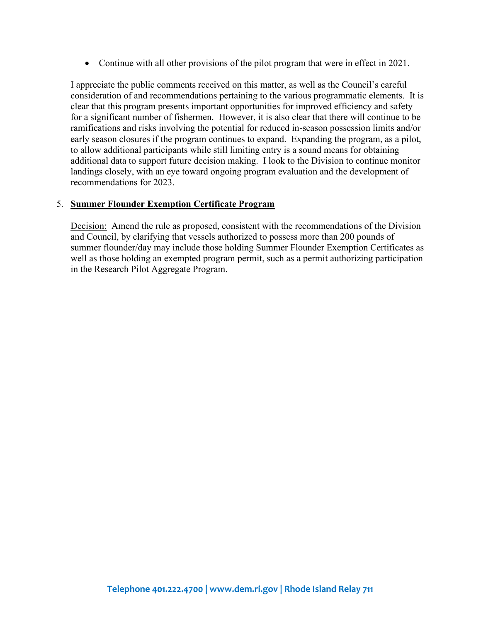• Continue with all other provisions of the pilot program that were in effect in 2021.

I appreciate the public comments received on this matter, as well as the Council's careful consideration of and recommendations pertaining to the various programmatic elements. It is clear that this program presents important opportunities for improved efficiency and safety for a significant number of fishermen. However, it is also clear that there will continue to be ramifications and risks involving the potential for reduced in-season possession limits and/or early season closures if the program continues to expand. Expanding the program, as a pilot, to allow additional participants while still limiting entry is a sound means for obtaining additional data to support future decision making. I look to the Division to continue monitor landings closely, with an eye toward ongoing program evaluation and the development of recommendations for 2023.

#### 5. **Summer Flounder Exemption Certificate Program**

Decision: Amend the rule as proposed, consistent with the recommendations of the Division and Council, by clarifying that vessels authorized to possess more than 200 pounds of summer flounder/day may include those holding Summer Flounder Exemption Certificates as well as those holding an exempted program permit, such as a permit authorizing participation in the Research Pilot Aggregate Program.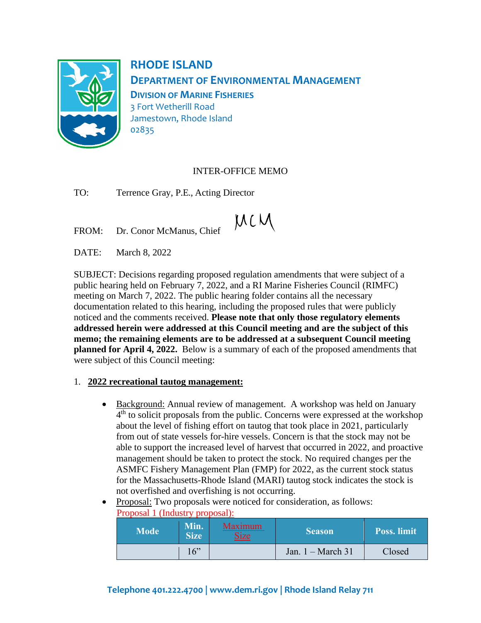

**RHODE ISLAND DEPARTMENT OF ENVIRONMENTAL MANAGEMENT DIVISION OF MARINE FISHERIES** 3 Fort Wetherill Road Jamestown, Rhode Island 02835

# INTER-OFFICE MEMO

TO: Terrence Gray, P.E., Acting Director

 $MCM$ 

FROM: Dr. Conor McManus, Chief

DATE: March 8, 2022

SUBJECT: Decisions regarding proposed regulation amendments that were subject of a public hearing held on February 7, 2022, and a RI Marine Fisheries Council (RIMFC) meeting on March 7, 2022. The public hearing folder contains all the necessary documentation related to this hearing, including the proposed rules that were publicly noticed and the comments received. **Please note that only those regulatory elements addressed herein were addressed at this Council meeting and are the subject of this memo; the remaining elements are to be addressed at a subsequent Council meeting planned for April 4, 2022.** Below is a summary of each of the proposed amendments that were subject of this Council meeting:

# 1. **2022 recreational tautog management:**

- Background: Annual review of management. A workshop was held on January 4<sup>th</sup> to solicit proposals from the public. Concerns were expressed at the workshop about the level of fishing effort on tautog that took place in 2021, particularly from out of state vessels for-hire vessels. Concern is that the stock may not be able to support the increased level of harvest that occurred in 2022, and proactive management should be taken to protect the stock. No required changes per the ASMFC Fishery Management Plan (FMP) for 2022, as the current stock status for the Massachusetts-Rhode Island (MARI) tautog stock indicates the stock is not overfished and overfishing is not occurring.
- Proposal: Two proposals were noticed for consideration, as follows: Proposal 1 (Industry proposal):

| <b>Mode</b> | Min.<br><b>Size</b> | Maximum<br><b>Size</b> | <b>Season</b>       | <b>Poss.</b> limit |
|-------------|---------------------|------------------------|---------------------|--------------------|
|             | 16"                 |                        | Jan. $1 - March 31$ | Closed             |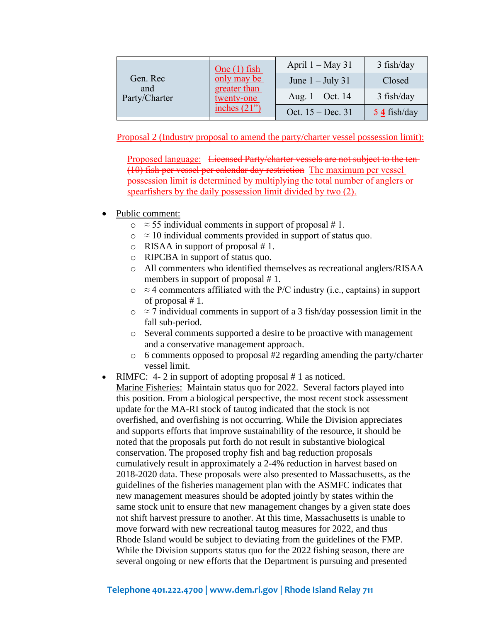| Gen. Rec<br>and<br>Party/Charter |  | One $(1)$ fish<br>only may be<br>greater than<br>twenty-one | April $1 - May 31$  | $3$ fish/day            |
|----------------------------------|--|-------------------------------------------------------------|---------------------|-------------------------|
|                                  |  |                                                             | June $1 -$ July 31  | Closed                  |
|                                  |  |                                                             | Aug. $1 - Oct. 14$  | $3$ fish/day            |
|                                  |  | inches $(21)$                                               | Oct. $15 - Dec. 31$ | $\frac{54}{1}$ fish/day |

Proposal 2 (Industry proposal to amend the party/charter vessel possession limit):

Proposed language: Licensed Party/charter vessels are not subject to the ten-(10) fish per vessel per calendar day restriction The maximum per vessel possession limit is determined by multiplying the total number of anglers or spearfishers by the daily possession limit divided by two (2).

- Public comment:
	- $\circ$   $\approx$  55 individual comments in support of proposal # 1.
	- $\circ$   $\approx$  10 individual comments provided in support of status quo.
	- o RISAA in support of proposal # 1.
	- o RIPCBA in support of status quo.
	- o All commenters who identified themselves as recreational anglers/RISAA members in support of proposal #1.
	- $\circ$  ≈ 4 commenters affiliated with the P/C industry (i.e., captains) in support of proposal # 1.
	- $\circ$  ≈ 7 individual comments in support of a 3 fish/day possession limit in the fall sub-period.
	- o Several comments supported a desire to be proactive with management and a conservative management approach.
	- o 6 comments opposed to proposal #2 regarding amending the party/charter vessel limit.
- RIMFC: 4-2 in support of adopting proposal # 1 as noticed.

Marine Fisheries: Maintain status quo for 2022. Several factors played into this position. From a biological perspective, the most recent stock assessment update for the MA-RI stock of tautog indicated that the stock is not overfished, and overfishing is not occurring. While the Division appreciates and supports efforts that improve sustainability of the resource, it should be noted that the proposals put forth do not result in substantive biological conservation. The proposed trophy fish and bag reduction proposals cumulatively result in approximately a 2-4% reduction in harvest based on 2018-2020 data. These proposals were also presented to Massachusetts, as the guidelines of the fisheries management plan with the ASMFC indicates that new management measures should be adopted jointly by states within the same stock unit to ensure that new management changes by a given state does not shift harvest pressure to another. At this time, Massachusetts is unable to move forward with new recreational tautog measures for 2022, and thus Rhode Island would be subject to deviating from the guidelines of the FMP. While the Division supports status quo for the 2022 fishing season, there are several ongoing or new efforts that the Department is pursuing and presented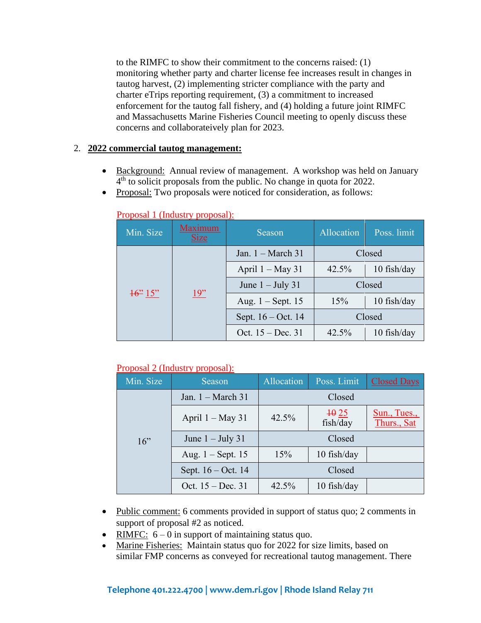to the RIMFC to show their commitment to the concerns raised: (1) monitoring whether party and charter license fee increases result in changes in tautog harvest, (2) implementing stricter compliance with the party and charter eTrips reporting requirement, (3) a commitment to increased enforcement for the tautog fall fishery, and (4) holding a future joint RIMFC and Massachusetts Marine Fisheries Council meeting to openly discuss these concerns and collaborateively plan for 2023.

#### 2. **2022 commercial tautog management:**

- Background: Annual review of management. A workshop was held on January 4<sup>th</sup> to solicit proposals from the public. No change in quota for 2022.
- Proposal: Two proposals were noticed for consideration, as follows:

| Min. Size          | <b>Maximum</b><br><b>Size</b> | Season               | Allocation | Poss. limit   |
|--------------------|-------------------------------|----------------------|------------|---------------|
| $\frac{16}{2}$ 15" | 19"                           | Jan. $1 - March 31$  | Closed     |               |
|                    |                               | April $1 - May 31$   | 42.5%      | $10$ fish/day |
|                    |                               | June $1 -$ July 31   | Closed     |               |
|                    |                               | Aug. $1 -$ Sept. 15  | 15%        | $10$ fish/day |
|                    |                               | Sept. $16 - Oct. 14$ | Closed     |               |
|                    |                               | Oct. $15 - Dec. 31$  | 42.5%      | $10$ fish/day |

#### Proposal 1 (Industry proposal):

# Proposal 2 (Industry proposal):

| Min. Size | Season               | Allocation | Poss. Limit                 | <b>Closed Days</b>          |  |
|-----------|----------------------|------------|-----------------------------|-----------------------------|--|
| $16$ "    | Jan. $1 - March 31$  | Closed     |                             |                             |  |
|           | April $1 - May 31$   | 42.5%      | $\frac{10}{25}$<br>fish/day | Sun., Tues.,<br>Thurs., Sat |  |
|           | June $1 -$ July 31   | Closed     |                             |                             |  |
|           | Aug. $1 -$ Sept. 15  | 15%        | 10 fish/day                 |                             |  |
|           | Sept. $16 - Oct. 14$ | Closed     |                             |                             |  |
|           | Oct. $15 - Dec. 31$  | 42.5%      | 10 fish/day                 |                             |  |

- Public comment: 6 comments provided in support of status quo; 2 comments in support of proposal #2 as noticed.
- RIMFC:  $6 0$  in support of maintaining status quo.
- Marine Fisheries: Maintain status quo for 2022 for size limits, based on similar FMP concerns as conveyed for recreational tautog management. There

# **Telephone 401.222.4700 [| www.dem.ri.gov |](http://www.dem.ri.gov/) Rhode Island Relay 711**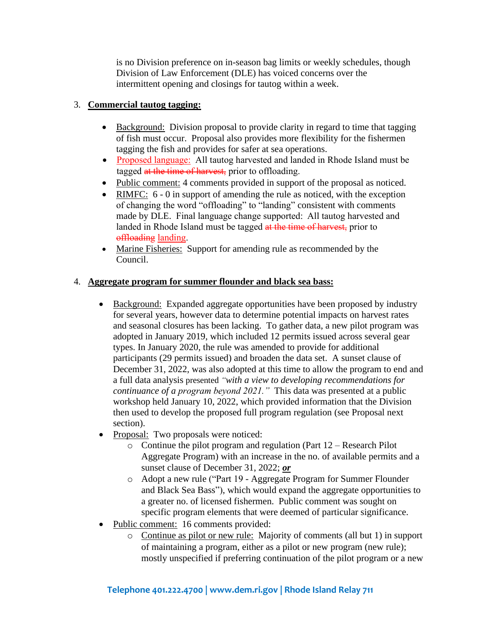is no Division preference on in-season bag limits or weekly schedules, though Division of Law Enforcement (DLE) has voiced concerns over the intermittent opening and closings for tautog within a week.

# 3. **Commercial tautog tagging:**

- Background: Division proposal to provide clarity in regard to time that tagging of fish must occur. Proposal also provides more flexibility for the fishermen tagging the fish and provides for safer at sea operations.
- Proposed language: All tautog harvested and landed in Rhode Island must be tagged at the time of harvest, prior to offloading.
- Public comment: 4 comments provided in support of the proposal as noticed.
- RIMFC: 6 0 in support of amending the rule as noticed, with the exception of changing the word "offloading" to "landing" consistent with comments made by DLE. Final language change supported: All tautog harvested and landed in Rhode Island must be tagged at the time of harvest, prior to offloading landing.
- Marine Fisheries: Support for amending rule as recommended by the Council.

# 4. **Aggregate program for summer flounder and black sea bass:**

- Background: Expanded aggregate opportunities have been proposed by industry for several years, however data to determine potential impacts on harvest rates and seasonal closures has been lacking. To gather data, a new pilot program was adopted in January 2019, which included 12 permits issued across several gear types. In January 2020, the rule was amended to provide for additional participants (29 permits issued) and broaden the data set. A sunset clause of December 31, 2022, was also adopted at this time to allow the program to end and a full data analysis presented *"with a view to developing recommendations for continuance of a program beyond 2021."* This data was presented at a public workshop held January 10, 2022, which provided information that the Division then used to develop the proposed full program regulation (see Proposal next section).
- Proposal: Two proposals were noticed:
	- o Continue the pilot program and regulation (Part 12 Research Pilot Aggregate Program) with an increase in the no. of available permits and a sunset clause of December 31, 2022; *or*
	- o Adopt a new rule ("Part 19 Aggregate Program for Summer Flounder and Black Sea Bass"), which would expand the aggregate opportunities to a greater no. of licensed fishermen. Public comment was sought on specific program elements that were deemed of particular significance.
- Public comment: 16 comments provided:
	- o Continue as pilot or new rule: Majority of comments (all but 1) in support of maintaining a program, either as a pilot or new program (new rule); mostly unspecified if preferring continuation of the pilot program or a new

# **Telephone 401.222.4700 [| www.dem.ri.gov |](http://www.dem.ri.gov/) Rhode Island Relay 711**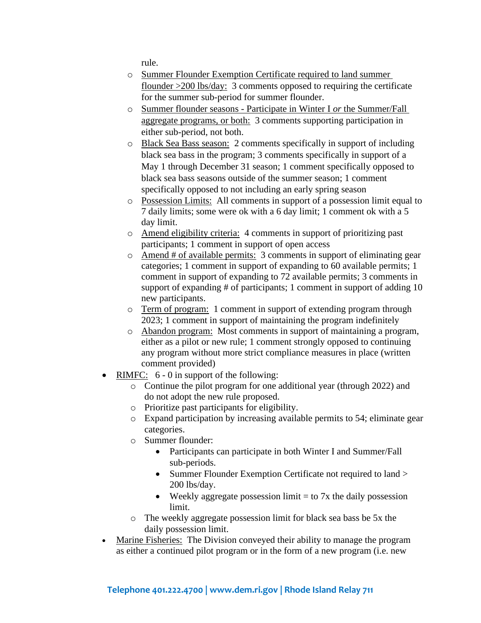rule.

- o Summer Flounder Exemption Certificate required to land summer flounder >200 lbs/day: 3 comments opposed to requiring the certificate for the summer sub-period for summer flounder.
- o Summer flounder seasons Participate in Winter I *or* the Summer/Fall aggregate programs, or both: 3 comments supporting participation in either sub-period, not both.
- o Black Sea Bass season: 2 comments specifically in support of including black sea bass in the program; 3 comments specifically in support of a May 1 through December 31 season; 1 comment specifically opposed to black sea bass seasons outside of the summer season; 1 comment specifically opposed to not including an early spring season
- o Possession Limits: All comments in support of a possession limit equal to 7 daily limits; some were ok with a 6 day limit; 1 comment ok with a 5 day limit.
- o Amend eligibility criteria: 4 comments in support of prioritizing past participants; 1 comment in support of open access
- o Amend # of available permits: 3 comments in support of eliminating gear categories; 1 comment in support of expanding to 60 available permits; 1 comment in support of expanding to 72 available permits; 3 comments in support of expanding # of participants; 1 comment in support of adding 10 new participants.
- o Term of program: 1 comment in support of extending program through 2023; 1 comment in support of maintaining the program indefinitely
- o Abandon program: Most comments in support of maintaining a program, either as a pilot or new rule; 1 comment strongly opposed to continuing any program without more strict compliance measures in place (written comment provided)
- RIMFC: 6 0 in support of the following:
	- o Continue the pilot program for one additional year (through 2022) and do not adopt the new rule proposed.
	- o Prioritize past participants for eligibility.
	- o Expand participation by increasing available permits to 54; eliminate gear categories.
	- o Summer flounder:
		- Participants can participate in both Winter I and Summer/Fall sub-periods.
		- Summer Flounder Exemption Certificate not required to land > 200 lbs/day.
		- Weekly aggregate possession limit  $=$  to 7x the daily possession limit.
	- o The weekly aggregate possession limit for black sea bass be 5x the daily possession limit.
- Marine Fisheries: The Division conveyed their ability to manage the program as either a continued pilot program or in the form of a new program (i.e. new